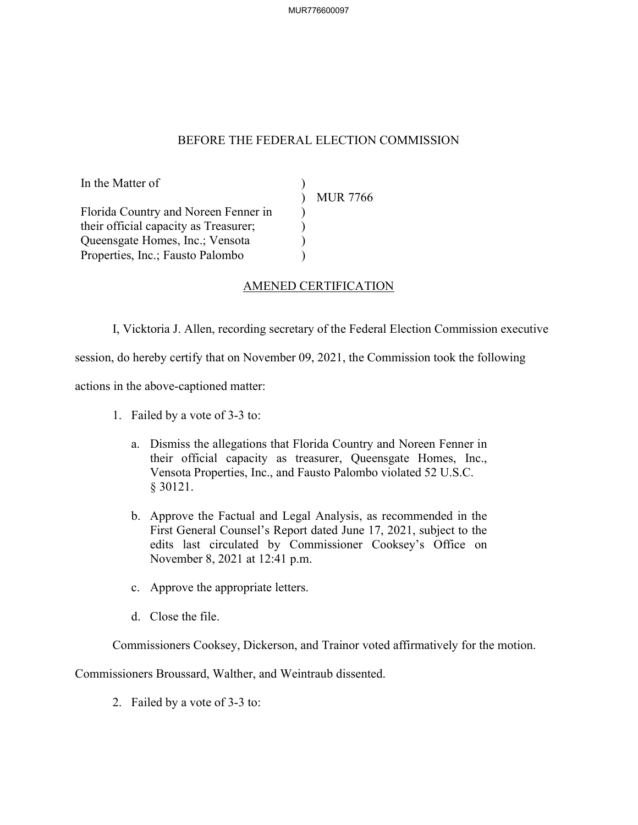## BEFORE THE FEDERAL ELECTION COMMISSION

In the Matter of ) MUR 7766 Florida Country and Noreen Fenner in <br>
their official capacity as Treasurer; their official capacity as Treasurer; ) Queensgate Homes, Inc.; Vensota ) Properties, Inc.; Fausto Palombo )

## AMENED CERTIFICATION

I, Vicktoria J. Allen, recording secretary of the Federal Election Commission executive

session, do hereby certify that on November 09, 2021, the Commission took the following

actions in the above-captioned matter:

- 1. Failed by a vote of 3-3 to:
	- a. Dismiss the allegations that Florida Country and Noreen Fenner in their official capacity as treasurer, Queensgate Homes, Inc., Vensota Properties, Inc., and Fausto Palombo violated 52 U.S.C. § 30121.
	- b. Approve the Factual and Legal Analysis, as recommended in the First General Counsel's Report dated June 17, 2021, subject to the edits last circulated by Commissioner Cooksey's Office on November 8, 2021 at 12:41 p.m.
	- c. Approve the appropriate letters.
	- d. Close the file.

Commissioners Cooksey, Dickerson, and Trainor voted affirmatively for the motion.

Commissioners Broussard, Walther, and Weintraub dissented.

2. Failed by a vote of 3-3 to: